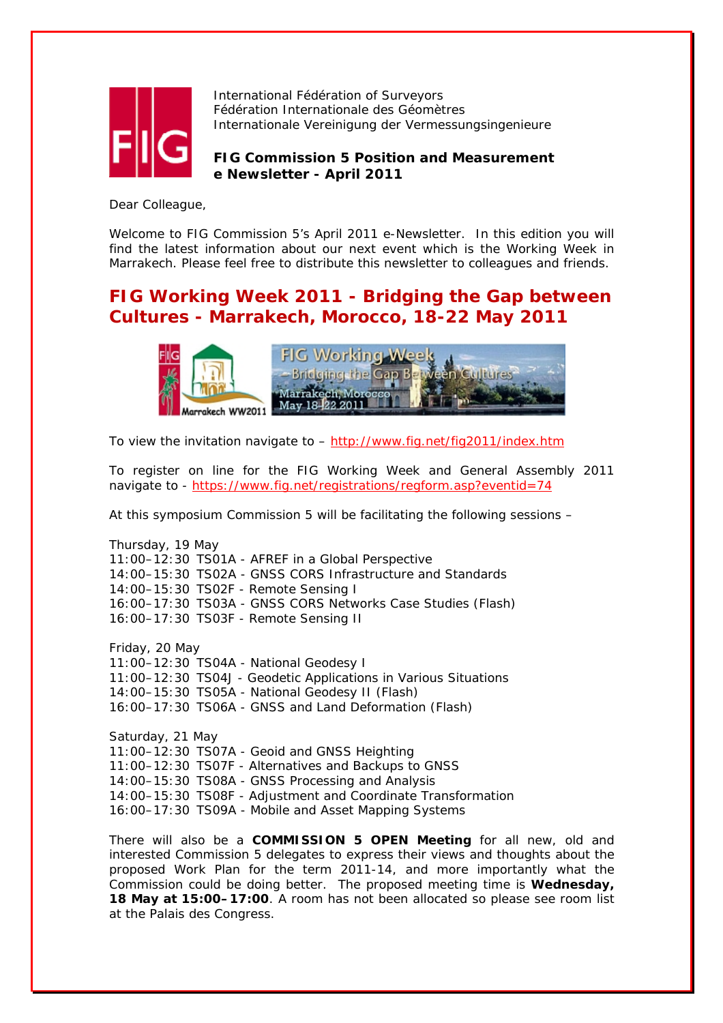

International Fédération of Surveyors Fédération Internationale des Géomètres Internationale Vereinigung der Vermessungsingenieure

**FIG Commission 5 Position and Measurement e Newsletter - April 2011**

Dear Colleague,

Welcome to FIG Commission 5's April 2011 e-Newsletter. In this edition you will find the latest information about our next event which is the Working Week in Marrakech. Please feel free to distribute this newsletter to colleagues and friends.

# **FIG Working Week 2011 - Bridging the Gap between Cultures - Marrakech, Morocco, 18-22 May 2011**



To view the invitation navigate to –<http://www.fig.net/fig2011/index.htm>

To register on line for the FIG Working Week and General Assembly 2011 navigate to -<https://www.fig.net/registrations/regform.asp?eventid=74>

At this symposium Commission 5 will be facilitating the following sessions –

Thursday, 19 May 11:00–12:30 TS01A - AFREF in a Global Perspective 14:00–15:30 TS02A - GNSS CORS Infrastructure and Standards 14:00–15:30 TS02F - Remote Sensing I 16:00–17:30 TS03A - GNSS CORS Networks Case Studies (Flash) 16:00–17:30 TS03F - Remote Sensing II

Friday, 20 May 11:00–12:30 TS04A - National Geodesy I 11:00–12:30 TS04J - Geodetic Applications in Various Situations 14:00–15:30 TS05A - National Geodesy II (Flash) 16:00–17:30 TS06A - GNSS and Land Deformation (Flash)

Saturday, 21 May 11:00–12:30 TS07A - Geoid and GNSS Heighting 11:00–12:30 TS07F - Alternatives and Backups to GNSS 14:00–15:30 TS08A - GNSS Processing and Analysis 14:00–15:30 TS08F - Adjustment and Coordinate Transformation 16:00–17:30 TS09A - Mobile and Asset Mapping Systems

There will also be a **COMMISSION 5 OPEN Meeting** for all new, old and interested Commission 5 delegates to express their views and thoughts about the proposed Work Plan for the term 2011-14, and more importantly what the Commission could be doing better. The proposed meeting time is **Wednesday, 18 May at 15:00–17:00**. A room has not been allocated so please see room list at the Palais des Congress.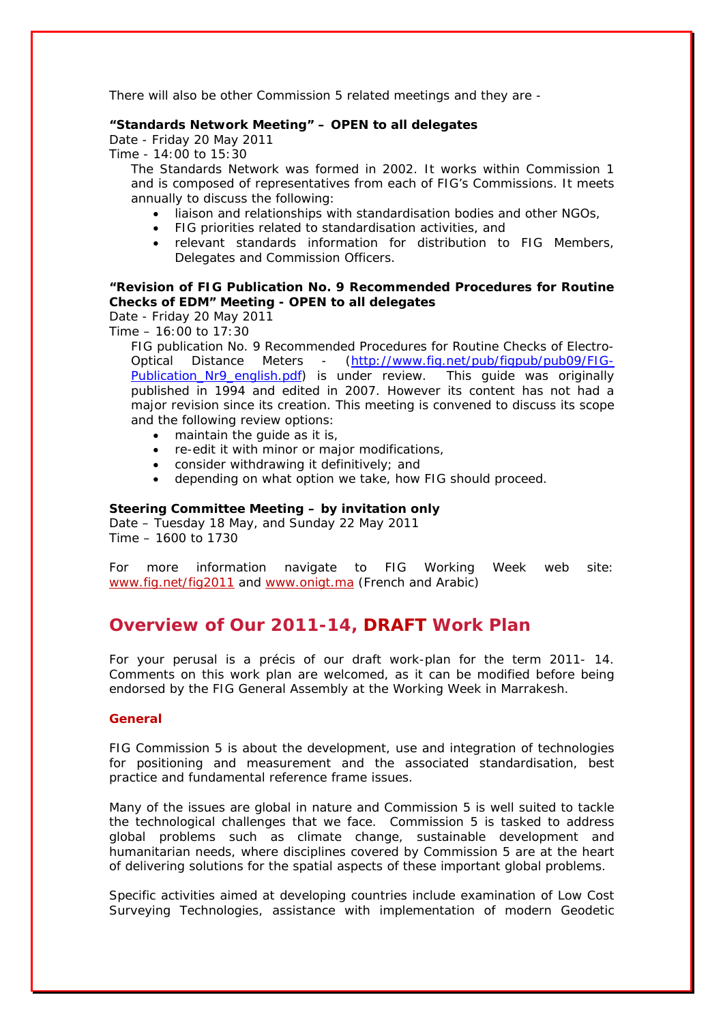There will also be other Commission 5 related meetings and they are -

#### **"Standards Network Meeting" – OPEN to all delegates**

Date - Friday 20 May 2011

Time - 14:00 to 15:30

The Standards Network was formed in 2002. It works within Commission 1 and is composed of representatives from each of FIG's Commissions. It meets annually to discuss the following:

- liaison and relationships with standardisation bodies and other NGOs,
- FIG priorities related to standardisation activities, and
- relevant standards information for distribution to FIG Members, Delegates and Commission Officers.

## **"Revision of FIG Publication No. 9 Recommended Procedures for Routine Checks of EDM" Meeting - OPEN to all delegates**

Date - Friday 20 May 2011

Time – 16:00 to 17:30

FIG publication No. 9 Recommended Procedures for Routine Checks of Electro-Optical Distance Meters - ([http://www.fig.net/pub/figpub/pub09/FIG-](http://www.fig.net/pub/figpub/pub09/FIG-Publication_Nr9_english.pdf)Publication Nr9 english.pdf) is under review. This guide was originally published in 1994 and edited in 2007. However its content has not had a major revision since its creation. This meeting is convened to discuss its scope and the following review options:

- maintain the guide as it is,
- re-edit it with minor or major modifications,
- consider withdrawing it definitively; and
- depending on what option we take, how FIG should proceed.

#### **Steering Committee Meeting – by invitation only**

Date – Tuesday 18 May, and Sunday 22 May 2011 Time – 1600 to 1730

For more information navigate to FIG Working Week web site: [www.fig.net/fig2011](http://www.fig.net/fig2011) and [www.onigt.ma](http://www.onigt.ma/) (French and Arabic)

## **Overview of Our 2011-14, DRAFT Work Plan**

For your perusal is a précis of our draft work-plan for the term 2011- 14. Comments on this work plan are welcomed, as it can be modified before being endorsed by the FIG General Assembly at the Working Week in Marrakesh.

#### **General**

FIG Commission 5 is about the development, use and integration of technologies for positioning and measurement and the associated standardisation, best practice and fundamental reference frame issues.

Many of the issues are global in nature and Commission 5 is well suited to tackle the technological challenges that we face. Commission 5 is tasked to address global problems such as climate change, sustainable development and humanitarian needs, where disciplines covered by Commission 5 are at the heart of delivering solutions for the spatial aspects of these important global problems.

Specific activities aimed at developing countries include examination of Low Cost Surveying Technologies, assistance with implementation of modern Geodetic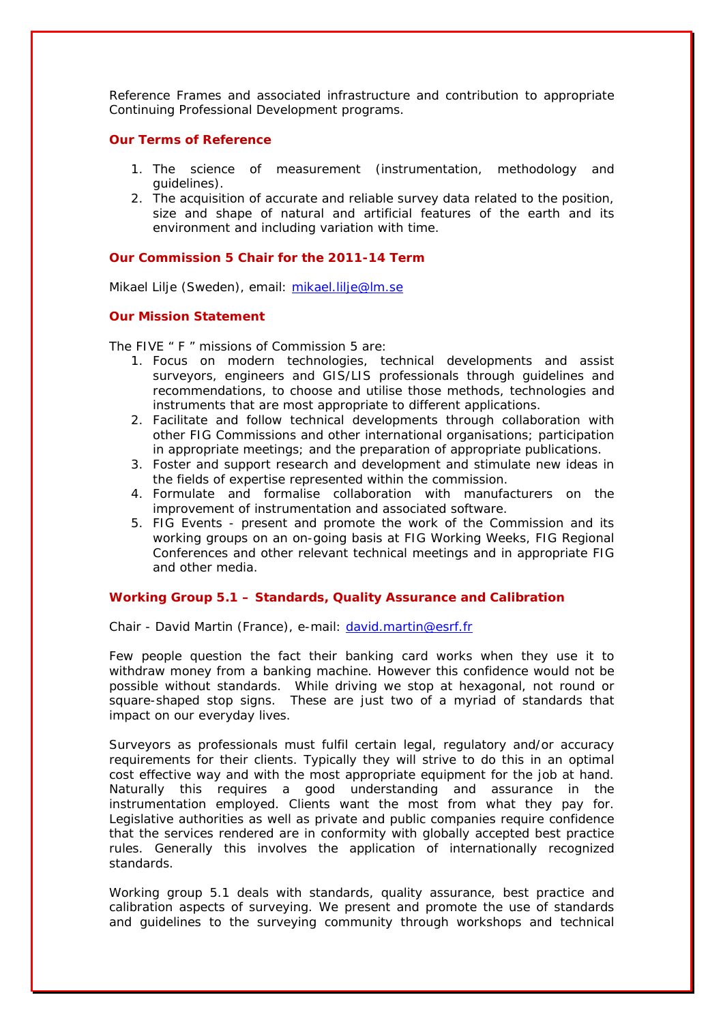Reference Frames and associated infrastructure and contribution to appropriate Continuing Professional Development programs.

#### **Our Terms of Reference**

- 1. The science of measurement (instrumentation, methodology and quidelines).
- 2. The acquisition of accurate and reliable survey data related to the position, size and shape of natural and artificial features of the earth and its environment and including variation with time.

### **Our Commission 5 Chair for the 2011-14 Term**

Mikael Lilje (Sweden), email: [mikael.lilje@lm.se](mailto:mikael.lilje@lm.se) 

#### **Our Mission Statement**

The FIVE " F " missions of Commission 5 are:

- 1. Focus on modern technologies, technical developments and assist surveyors, engineers and GIS/LIS professionals through guidelines and recommendations, to choose and utilise those methods, technologies and instruments that are most appropriate to different applications.
- 2. Facilitate and follow technical developments through collaboration with other FIG Commissions and other international organisations; participation in appropriate meetings; and the preparation of appropriate publications.
- 3. Foster and support research and development and stimulate new ideas in the fields of expertise represented within the commission.
- 4. Formulate and formalise collaboration with manufacturers on the improvement of instrumentation and associated software.
- 5. FIG Events present and promote the work of the Commission and its working groups on an on-going basis at FIG Working Weeks, FIG Regional Conferences and other relevant technical meetings and in appropriate FIG and other media.

#### **Working Group 5.1 – Standards, Quality Assurance and Calibration**

Chair - David Martin (France), e-mail: [david.martin@esrf.fr](mailto:david.martin@esrf.fr) 

Few people question the fact their banking card works when they use it to withdraw money from a banking machine. However this confidence would not be possible without standards. While driving we stop at hexagonal, not round or square-shaped stop signs. These are just two of a myriad of standards that impact on our everyday lives.

Surveyors as professionals must fulfil certain legal, regulatory and/or accuracy requirements for their clients. Typically they will strive to do this in an optimal cost effective way and with the most appropriate equipment for the job at hand. Naturally this requires a good understanding and assurance in the instrumentation employed. Clients want the most from what they pay for. Legislative authorities as well as private and public companies require confidence that the services rendered are in conformity with globally accepted best practice rules. Generally this involves the application of internationally recognized standards.

Working group 5.1 deals with standards, quality assurance, best practice and calibration aspects of surveying. We present and promote the use of standards and guidelines to the surveying community through workshops and technical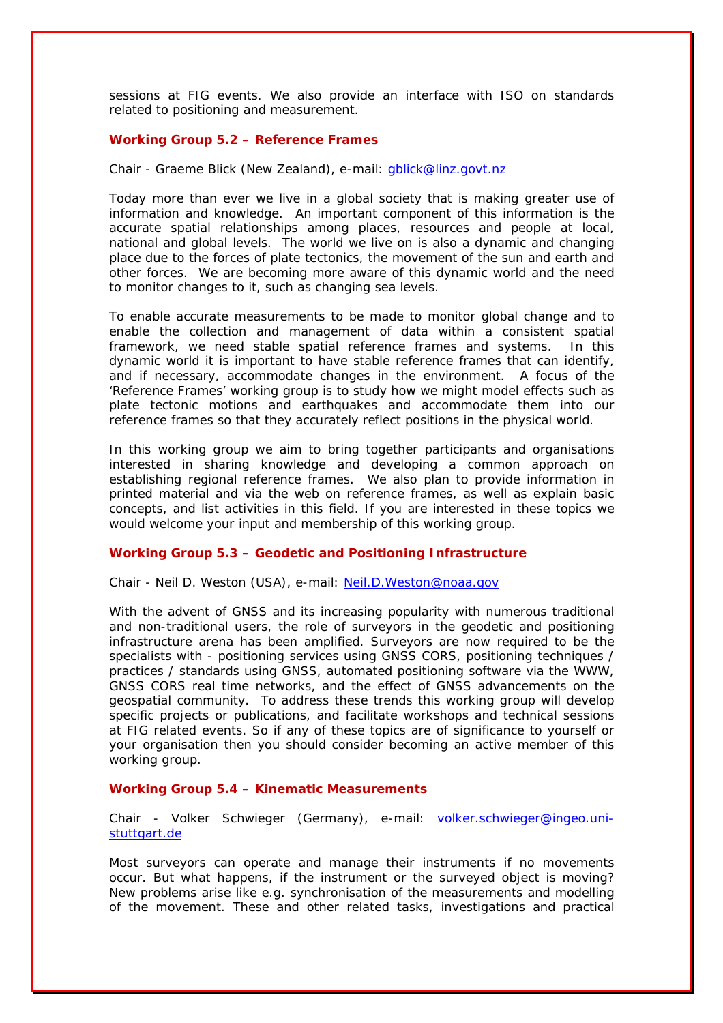sessions at FIG events. We also provide an interface with ISO on standards related to positioning and measurement.

#### **Working Group 5.2 – Reference Frames**

#### Chair - Graeme Blick (New Zealand), e-mail: [gblick@linz.govt.nz](mailto:gblick@linz.govt.nz)

Today more than ever we live in a global society that is making greater use of information and knowledge. An important component of this information is the accurate spatial relationships among places, resources and people at local, national and global levels. The world we live on is also a dynamic and changing place due to the forces of plate tectonics, the movement of the sun and earth and other forces. We are becoming more aware of this dynamic world and the need to monitor changes to it, such as changing sea levels.

To enable accurate measurements to be made to monitor global change and to enable the collection and management of data within a consistent spatial framework, we need stable spatial reference frames and systems. In this dynamic world it is important to have stable reference frames that can identify, and if necessary, accommodate changes in the environment. A focus of the 'Reference Frames' working group is to study how we might model effects such as plate tectonic motions and earthquakes and accommodate them into our reference frames so that they accurately reflect positions in the physical world.

In this working group we aim to bring together participants and organisations interested in sharing knowledge and developing a common approach on establishing regional reference frames. We also plan to provide information in printed material and via the web on reference frames, as well as explain basic concepts, and list activities in this field. If you are interested in these topics we would welcome your input and membership of this working group.

### **Working Group 5.3 – Geodetic and Positioning Infrastructure**

Chair - Neil D. Weston (USA), e-mail: [Neil.D.Weston@noaa.gov](mailto:Neil.D.Weston@noaa.gov)

With the advent of GNSS and its increasing popularity with numerous traditional and non-traditional users, the role of surveyors in the geodetic and positioning infrastructure arena has been amplified. Surveyors are now required to be the specialists with - positioning services using GNSS CORS, positioning techniques / practices / standards using GNSS, automated positioning software via the WWW, GNSS CORS real time networks, and the effect of GNSS advancements on the geospatial community. To address these trends this working group will develop specific projects or publications, and facilitate workshops and technical sessions at FIG related events. So if any of these topics are of significance to yourself or your organisation then you should consider becoming an active member of this working group.

#### **Working Group 5.4 – Kinematic Measurements**

Chair - Volker Schwieger (Germany), e-mail: [volker.schwieger@ingeo.uni](mailto:volker.schwieger@ingeo.uni-stuttgart.de)stuttgart.de

Most surveyors can operate and manage their instruments if no movements occur. But what happens, if the instrument or the surveyed object is moving? New problems arise like e.g. synchronisation of the measurements and modelling of the movement. These and other related tasks, investigations and practical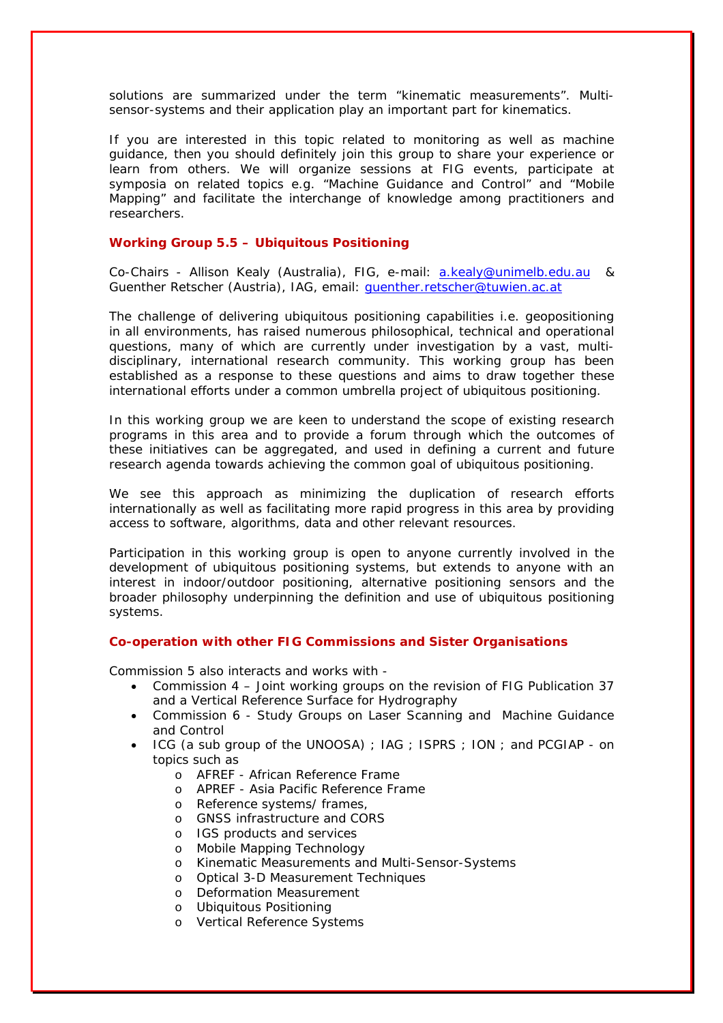solutions are summarized under the term "kinematic measurements". Multisensor-systems and their application play an important part for kinematics.

If you are interested in this topic related to monitoring as well as machine guidance, then you should definitely join this group to share your experience or learn from others. We will organize sessions at FIG events, participate at symposia on related topics e.g. "Machine Guidance and Control" and "Mobile Mapping" and facilitate the interchange of knowledge among practitioners and researchers.

#### **Working Group 5.5 – Ubiquitous Positioning**

Co-Chairs - Allison Kealy (Australia), FIG, e-mail: [a.kealy@unimelb.edu.au](mailto:a.kealy@unimelb.edu.au) & Guenther Retscher (Austria), IAG, email: [guenther.retscher@tuwien.ac.at](mailto:guenther.retscher@tuwien.ac.at)

The challenge of delivering ubiquitous positioning capabilities i.e. geopositioning in all environments, has raised numerous philosophical, technical and operational questions, many of which are currently under investigation by a vast, multidisciplinary, international research community. This working group has been established as a response to these questions and aims to draw together these international efforts under a common umbrella project of ubiquitous positioning.

In this working group we are keen to understand the scope of existing research programs in this area and to provide a forum through which the outcomes of these initiatives can be aggregated, and used in defining a current and future research agenda towards achieving the common goal of ubiquitous positioning.

We see this approach as minimizing the duplication of research efforts internationally as well as facilitating more rapid progress in this area by providing access to software, algorithms, data and other relevant resources.

Participation in this working group is open to anyone currently involved in the development of ubiquitous positioning systems, but extends to anyone with an interest in indoor/outdoor positioning, alternative positioning sensors and the broader philosophy underpinning the definition and use of ubiquitous positioning systems.

#### **Co-operation with other FIG Commissions and Sister Organisations**

Commission 5 also interacts and works with -

- Commission 4 Joint working groups on the revision of FIG Publication 37 and a Vertical Reference Surface for Hydrography
- Commission 6 Study Groups on Laser Scanning and Machine Guidance and Control
- ICG (a sub group of the UNOOSA) ; IAG ; ISPRS ; ION ; and PCGIAP on topics such as
	- o AFREF African Reference Frame
	- o APREF Asia Pacific Reference Frame
	- o Reference systems/ frames,
	- o GNSS infrastructure and CORS
	- o IGS products and services
	- o Mobile Mapping Technology
	- o Kinematic Measurements and Multi-Sensor-Systems
	- o Optical 3-D Measurement Techniques
	- o Deformation Measurement
	- o Ubiquitous Positioning
	- o Vertical Reference Systems